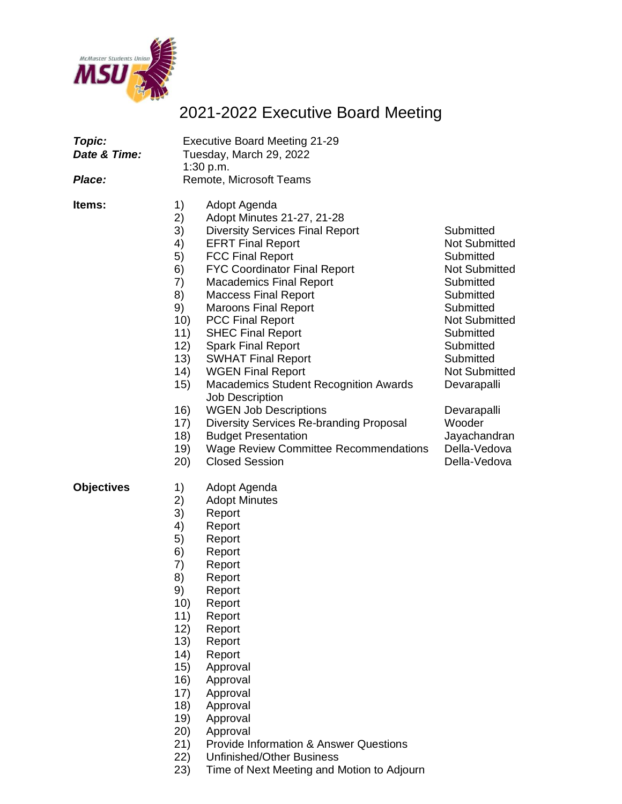

## 2021-2022 Executive Board Meeting

| Topic:<br>Date & Time:<br>Place: | <b>Executive Board Meeting 21-29</b><br>Tuesday, March 29, 2022<br>1:30 p.m.<br>Remote, Microsoft Teams                                 |                                                                                                                                                                                                                                                                                                                                                                                                                                                                                                                                                                                                                                                                                             |                                                                                                                                                                                                                                                                                              |
|----------------------------------|-----------------------------------------------------------------------------------------------------------------------------------------|---------------------------------------------------------------------------------------------------------------------------------------------------------------------------------------------------------------------------------------------------------------------------------------------------------------------------------------------------------------------------------------------------------------------------------------------------------------------------------------------------------------------------------------------------------------------------------------------------------------------------------------------------------------------------------------------|----------------------------------------------------------------------------------------------------------------------------------------------------------------------------------------------------------------------------------------------------------------------------------------------|
| ltems:                           | 1)<br>2)<br>3)<br>4)<br>5)<br>6)<br>7)<br>8)<br>9)<br>10)<br>11)<br>12)<br>13)<br>14)<br>15)<br>16)<br>17)<br>18)<br>19)<br>20)         | Adopt Agenda<br>Adopt Minutes 21-27, 21-28<br><b>Diversity Services Final Report</b><br><b>EFRT Final Report</b><br><b>FCC Final Report</b><br><b>FYC Coordinator Final Report</b><br><b>Macademics Final Report</b><br><b>Maccess Final Report</b><br><b>Maroons Final Report</b><br><b>PCC Final Report</b><br><b>SHEC Final Report</b><br><b>Spark Final Report</b><br><b>SWHAT Final Report</b><br><b>WGEN Final Report</b><br>Macademics Student Recognition Awards<br><b>Job Description</b><br><b>WGEN Job Descriptions</b><br><b>Diversity Services Re-branding Proposal</b><br><b>Budget Presentation</b><br><b>Wage Review Committee Recommendations</b><br><b>Closed Session</b> | Submitted<br><b>Not Submitted</b><br>Submitted<br><b>Not Submitted</b><br>Submitted<br>Submitted<br>Submitted<br><b>Not Submitted</b><br>Submitted<br>Submitted<br>Submitted<br><b>Not Submitted</b><br>Devarapalli<br>Devarapalli<br>Wooder<br>Jayachandran<br>Della-Vedova<br>Della-Vedova |
| <b>Objectives</b>                | 1)<br>2)<br>3)<br>4)<br>5)<br>6)<br>7)<br>8)<br>9)<br>10)<br>11)<br>12)<br>13)<br>14)<br>15)<br>16)<br>17)<br>18)<br>19)<br>(20)<br>21) | Adopt Agenda<br><b>Adopt Minutes</b><br>Report<br>Report<br>Report<br>Report<br>Report<br>Report<br>Report<br>Report<br>Report<br>Report<br>Report<br>Report<br>Approval<br>Approval<br>Approval<br>Approval<br>Approval<br>Approval<br><b>Provide Information &amp; Answer Questions</b>                                                                                                                                                                                                                                                                                                                                                                                                   |                                                                                                                                                                                                                                                                                              |

- 22) Unfinished/Other Business
- 23) Time of Next Meeting and Motion to Adjourn